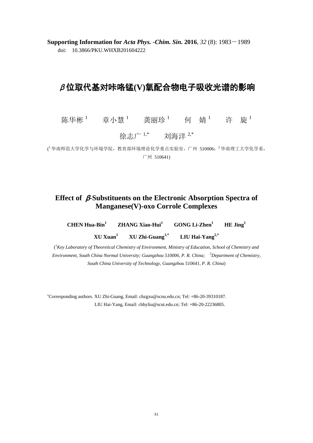**Supporting Information for** *Acta Phys. -Chim. Sin.* **2016**, *32* (8): 1983-1989 doi: 10.3866/PKU.WHXB201604222

# β位取代基对咔咯锰**(V)**氧配合物电子吸收光谱的影响

陈华彬  $^1$  章小慧 龚丽珍 何 婧 <sup>1</sup> 许 旋 <sup>1</sup>

徐志广<sup>1,\*</sup> 刘海洋<sup>2,\*</sup>

( 华南师范大学化学与环境学院,教育部环境理论化学重点实验室,广州 510006; <sup>2</sup> 华南理工大学化学系, 广州 510641)

#### **Effect of** β**-Substituents on the Electronic Absorption Spectra of Manganese(V)-oxo Corrole Complexes**

**CHEN Hua-Bin<sup>1</sup> ZHANG Xiao-Hui<sup>1</sup> GONG Li-Zhen<sup>1</sup> HE Jing<sup>1</sup> XU Xuan<sup>1</sup> XU Zhi-Guang1,\* LIU Hai-Yang2,\***

( <sup>1</sup>*Key Laboratory of Theoretical Chemistry of Environment, Ministry of Education, School of Chemistry and Environment, South China Normal University; Guangzhou 510006, P. R. China;* <sup>2</sup>*Department of Chemistry, South China University of Technology, Guangzhou 510641, P. R. China*)

<sup>∗</sup>Corresponding authors. XU Zhi-Guang, Email: chzgxu@scnu.edu.cn; Tel: +86-20-39310187. LIU Hai-Yang, Email: chhyliu@scut.edu.cn; Tel: +86-20-22236805.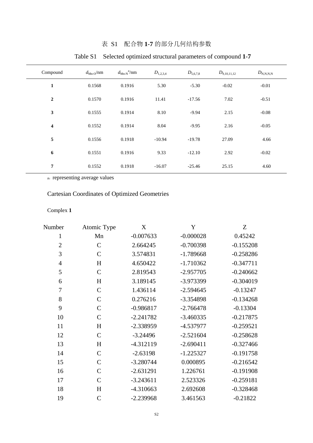| Compound                | $d_{\text{Mn-O}}/nm$ | $d_{\text{Mn-N}}^{\text{a/m}}$ | $D_{1,2,3,4}$ | $D_{5,6,7,8}$ | $D_{9,10,11,12}$ | $D_{\text{N,N,N,N}}$ |
|-------------------------|----------------------|--------------------------------|---------------|---------------|------------------|----------------------|
| 1                       | 0.1568               | 0.1916                         | 5.30          | $-5.30$       | $-0.02$          | $-0.01$              |
| $\boldsymbol{2}$        | 0.1570               | 0.1916                         | 11.41         | $-17.56$      | 7.02             | $-0.51$              |
| $\mathbf{3}$            | 0.1555               | 0.1914                         | 8.10          | $-9.94$       | 2.15             | $-0.08$              |
| $\overline{\mathbf{4}}$ | 0.1552               | 0.1914                         | 8.04          | $-9.95$       | 2.16             | $-0.05$              |
| 5                       | 0.1556               | 0.1918                         | $-10.94$      | $-19.78$      | 27.09            | 4.66                 |
| 6                       | 0.1551               | 0.1916                         | 9.33          | $-12.10$      | 2.92             | $-0.02$              |
| 7                       | 0.1552               | 0.1918                         | $-16.07$      | $-25.46$      | 25.15            | 4.60                 |
|                         |                      |                                |               |               |                  |                      |

## 表 S1 配合物 **1**-**7** 的部分几何结构参数

## Table S1 Selected optimized structural parameters of compound **1**-**7**

a: representing average values

## Cartesian Coordinates of Optimized Geometries

#### Complex **1**

| Number         | Atomic Type   | $\boldsymbol{\mathrm{X}}$ | $\mathbf Y$ | Z           |
|----------------|---------------|---------------------------|-------------|-------------|
| $\mathbf{1}$   | Mn            | $-0.007633$               | $-0.000028$ | 0.45242     |
| $\overline{2}$ | $\mathbf C$   | 2.664245                  | $-0.700398$ | $-0.155208$ |
| 3              | $\mathsf{C}$  | 3.574831                  | $-1.789668$ | $-0.258286$ |
| $\overline{4}$ | H             | 4.650422                  | $-1.710362$ | $-0.347711$ |
| 5              | $\mathcal{C}$ | 2.819543                  | $-2.957705$ | $-0.240662$ |
| 6              | H             | 3.189145                  | -3.973399   | $-0.304019$ |
| 7              | $\mathsf{C}$  | 1.436114                  | $-2.594645$ | $-0.13247$  |
| 8              | $\mathsf{C}$  | 0.276216                  | -3.354898   | $-0.134268$ |
| 9              | $\mathsf{C}$  | $-0.986817$               | $-2.766478$ | $-0.13304$  |
| 10             | $\mathcal{C}$ | $-2.241782$               | $-3.460335$ | $-0.217875$ |
| 11             | H             | $-2.338959$               | -4.537977   | $-0.259521$ |
| 12             | $\mathcal{C}$ | $-3.24496$                | $-2.521604$ | $-0.258628$ |
| 13             | H             | $-4.312119$               | $-2.690411$ | $-0.327466$ |
| 14             | $\mathsf{C}$  | $-2.63198$                | $-1.225327$ | $-0.191758$ |
| 15             | $\mathsf{C}$  | $-3.280744$               | 0.000895    | $-0.216542$ |
| 16             | $\mathsf{C}$  | $-2.631291$               | 1.226761    | $-0.191908$ |
| 17             | $\mathsf{C}$  | $-3.243611$               | 2.523326    | $-0.259181$ |
| 18             | H             | $-4.310663$               | 2.692608    | $-0.328468$ |
| 19             | $\mathcal{C}$ | $-2.239968$               | 3.461563    | $-0.21822$  |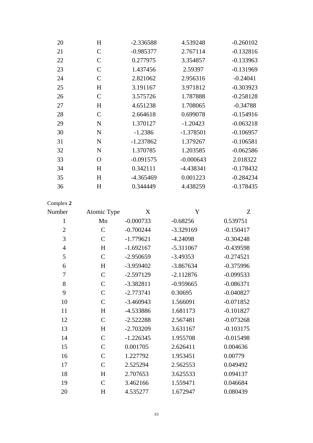| 20 | H             | $-2.336588$ | 4.539248    | $-0.260102$ |
|----|---------------|-------------|-------------|-------------|
| 21 | $\mathbf C$   | $-0.985377$ | 2.767114    | $-0.132816$ |
| 22 | $\mathcal{C}$ | 0.277975    | 3.354857    | $-0.133963$ |
| 23 | $\mathsf{C}$  | 1.437456    | 2.59397     | $-0.131969$ |
| 24 | $\mathcal{C}$ | 2.821062    | 2.956316    | $-0.24041$  |
| 25 | H             | 3.191167    | 3.971812    | $-0.303923$ |
| 26 | $\mathbf C$   | 3.575726    | 1.787888    | $-0.258128$ |
| 27 | H             | 4.651238    | 1.708065    | $-0.34788$  |
| 28 | $\mathsf{C}$  | 2.664618    | 0.699078    | $-0.154916$ |
| 29 | $\mathbf N$   | 1.370127    | $-1.20423$  | $-0.063218$ |
| 30 | N             | $-1.2386$   | $-1.378501$ | $-0.106957$ |
| 31 | $\mathbf N$   | $-1.237862$ | 1.379267    | $-0.106581$ |
| 32 | N             | 1.370785    | 1.203585    | $-0.062586$ |
| 33 | $\Omega$      | $-0.091575$ | $-0.000643$ | 2.018322    |
| 34 | H             | 0.342111    | $-4.438341$ | $-0.178432$ |
| 35 | H             | $-4.365469$ | 0.001223    | $-0.284234$ |
| 36 | H             | 0.344449    | 4.438259    | $-0.178435$ |
|    |               |             |             |             |

| Number         | Atomic Type  | X           | Y           | Z           |
|----------------|--------------|-------------|-------------|-------------|
| 1              | Mn           | $-0.000733$ | $-0.68256$  | 0.539751    |
| $\mathbf{2}$   | $\mathsf{C}$ | $-0.700244$ | -3.329169   | $-0.150417$ |
| 3              | $\mathsf{C}$ | $-1.779621$ | $-4.24098$  | $-0.304248$ |
| $\overline{4}$ | H            | $-1.692167$ | $-5.311067$ | $-0.439598$ |
| 5              | $\mathsf{C}$ | $-2.950659$ | $-3.49353$  | $-0.274521$ |
| 6              | H            | $-3.959402$ | $-3.867634$ | $-0.375996$ |
| 7              | $\mathsf{C}$ | $-2.597129$ | $-2.112876$ | $-0.099533$ |
| 8              | $\mathsf{C}$ | $-3.382811$ | $-0.959665$ | $-0.086371$ |
| 9              | $\mathsf{C}$ | $-2.773741$ | 0.30695     | $-0.040827$ |
| 10             | $\mathsf{C}$ | $-3.460943$ | 1.566091    | $-0.071852$ |
| 11             | H            | -4.533886   | 1.681173    | $-0.101827$ |
| 12             | $\mathbf C$  | $-2.522288$ | 2.567481    | $-0.073268$ |
| 13             | H            | $-2.703209$ | 3.631167    | $-0.103175$ |
| 14             | $\mathsf{C}$ | $-1.226345$ | 1.955708    | $-0.015498$ |
| 15             | $\mathsf{C}$ | 0.001705    | 2.626411    | 0.004636    |
| 16             | $\mathsf{C}$ | 1.227792    | 1.953451    | 0.00779     |
| 17             | $\mathsf{C}$ | 2.525294    | 2.562553    | 0.049492    |
| 18             | H            | 2.707653    | 3.625533    | 0.094137    |
| 19             | $\mathsf{C}$ | 3.462166    | 1.559471    | 0.046684    |
| 20             | H            | 4.535277    | 1.672947    | 0.080439    |
|                |              |             |             |             |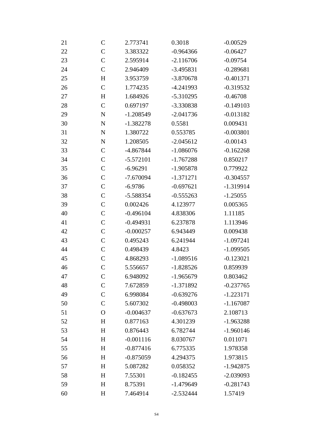| 21 | $\mathsf{C}$   | 2.773741    | 0.3018      | $-0.00529$  |
|----|----------------|-------------|-------------|-------------|
| 22 | $\mathcal{C}$  | 3.383322    | $-0.964366$ | $-0.06427$  |
| 23 | $\mathcal{C}$  | 2.595914    | $-2.116706$ | $-0.09754$  |
| 24 | $\mathcal{C}$  | 2.946409    | $-3.495831$ | $-0.289681$ |
| 25 | H              | 3.953759    | $-3.870678$ | $-0.401371$ |
| 26 | $\mathcal{C}$  | 1.774235    | -4.241993   | $-0.319532$ |
| 27 | H              | 1.684926    | $-5.310295$ | $-0.46708$  |
| 28 | $\mathcal{C}$  | 0.697197    | -3.330838   | $-0.149103$ |
| 29 | ${\bf N}$      | $-1.208549$ | $-2.041736$ | $-0.013182$ |
| 30 | ${\bf N}$      | $-1.382278$ | 0.5581      | 0.009431    |
| 31 | ${\bf N}$      | 1.380722    | 0.553785    | $-0.003801$ |
| 32 | ${\bf N}$      | 1.208505    | $-2.045612$ | $-0.00143$  |
| 33 | $\mathcal{C}$  | -4.867844   | $-1.086076$ | $-0.162268$ |
| 34 | $\mathcal{C}$  | $-5.572101$ | $-1.767288$ | 0.850217    |
| 35 | $\mathcal{C}$  | $-6.96291$  | $-1.905878$ | 0.779922    |
| 36 | $\mathcal{C}$  | $-7.670094$ | $-1.371271$ | $-0.304557$ |
| 37 | $\mathcal{C}$  | $-6.9786$   | $-0.697621$ | $-1.319914$ |
| 38 | $\overline{C}$ | -5.588354   | $-0.555263$ | $-1.25055$  |
| 39 | $\mathcal{C}$  | 0.002426    | 4.123977    | 0.005365    |
| 40 | $\mathcal{C}$  | $-0.496104$ | 4.838306    | 1.11185     |
| 41 | $\mathcal{C}$  | $-0.494931$ | 6.237878    | 1.113946    |
| 42 | $\mathcal{C}$  | $-0.000257$ | 6.943449    | 0.009438    |
| 43 | $\mathcal{C}$  | 0.495243    | 6.241944    | $-1.097241$ |
| 44 | $\mathcal{C}$  | 0.498439    | 4.8423      | $-1.099505$ |
| 45 | $\mathcal{C}$  | 4.868293    | $-1.089516$ | $-0.123021$ |
| 46 | $\overline{C}$ | 5.556657    | $-1.828526$ | 0.859939    |
| 47 | $\mathsf C$    | 6.948092    | $-1.965679$ | 0.803462    |
| 48 | $\mathsf{C}$   | 7.672859    | $-1.371892$ | $-0.237765$ |
| 49 | $\mathcal{C}$  | 6.998084    | $-0.639276$ | $-1.223171$ |
| 50 | $\mathsf{C}$   | 5.607302    | $-0.498003$ | $-1.167087$ |
| 51 | $\Omega$       | $-0.004637$ | $-0.637673$ | 2.108713    |
| 52 | H              | 0.877163    | 4.301239    | $-1.963288$ |
| 53 | H              | 0.876443    | 6.782744    | $-1.960146$ |
| 54 | H              | $-0.001116$ | 8.030767    | 0.011071    |
| 55 | H              | $-0.877416$ | 6.775335    | 1.978358    |
| 56 | H              | $-0.875059$ | 4.294375    | 1.973815    |
| 57 | H              | 5.087282    | 0.058352    | $-1.942875$ |
| 58 | H              | 7.55301     | $-0.182455$ | $-2.039093$ |
| 59 | H              | 8.75391     | $-1.479649$ | $-0.281743$ |
| 60 | $H_{\rm}$      | 7.464914    | $-2.532444$ | 1.57419     |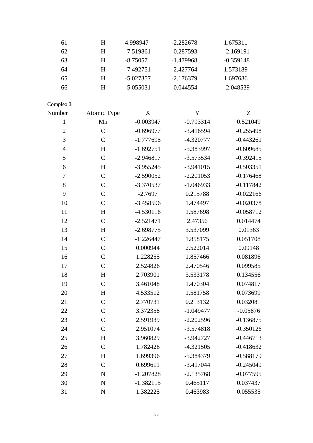| 61               | H             | 4.998947    | $-2.282678$ | 1.675311    |
|------------------|---------------|-------------|-------------|-------------|
| 62               | H             | $-7.519861$ | $-0.287593$ | $-2.169191$ |
| 63               | H             | $-8.75057$  | $-1.479968$ | $-0.359148$ |
| 64               | H             | $-7.492751$ | $-2.427764$ | 1.573189    |
| 65               | H             | $-5.027357$ | $-2.176379$ | 1.697686    |
| 66               | H             | $-5.055031$ | $-0.044554$ | $-2.048539$ |
| Complex 3        |               |             |             |             |
| Number           | Atomic Type   | X           | Y           | Z           |
| $\mathbf{1}$     | Mn            | $-0.003947$ | $-0.793314$ | 0.521049    |
| $\mathbf{2}$     | $\mathsf{C}$  | $-0.696977$ | $-3.416594$ | $-0.255498$ |
| 3                | $\mathcal{C}$ | $-1.777695$ | $-4.320777$ | $-0.443261$ |
| $\overline{4}$   | H             | $-1.692751$ | -5.383997   | $-0.609685$ |
| 5                | $\mathcal{C}$ | $-2.946817$ | $-3.573534$ | $-0.392415$ |
| 6                | H             | $-3.955245$ | $-3.941015$ | $-0.503351$ |
| $\boldsymbol{7}$ | $\mathcal{C}$ | $-2.590052$ | $-2.201053$ | $-0.176468$ |
| $8\,$            | $\mathsf{C}$  | $-3.370537$ | $-1.046933$ | $-0.117842$ |
| 9                | $\mathsf{C}$  | $-2.7697$   | 0.215788    | $-0.022166$ |
| 10               | $\mathcal{C}$ | $-3.458596$ | 1.474497    | $-0.020378$ |
| 11               | H             | $-4.530116$ | 1.587698    | $-0.058712$ |
| 12               | $\mathcal{C}$ | $-2.521471$ | 2.47356     | 0.014474    |
| 13               | H             | $-2.698775$ | 3.537099    | 0.01363     |
| 14               | $\mathcal{C}$ | $-1.226447$ | 1.858175    | 0.051708    |
| 15               | $\mathcal{C}$ | 0.000944    | 2.522014    | 0.09148     |
| 16               | $\mathcal{C}$ | 1.228255    | 1.857466    | 0.081896    |
| 17               | $\mathsf{C}$  | 2.524826    | 2.470546    | 0.099585    |
| 18               | H             | 2.703901    | 3.533178    | 0.134556    |
| 19               | $\mathcal{C}$ | 3.461048    | 1.470304    | 0.074817    |
| 20               | H             | 4.533512    | 1.581758    | 0.073699    |
| 21               | $\mathcal{C}$ | 2.770731    | 0.213132    | 0.032081    |
| 22               | $\mathcal{C}$ | 3.372358    | $-1.049477$ | $-0.05876$  |
| 23               | $\mathcal{C}$ | 2.591939    | $-2.202596$ | $-0.136875$ |
| 24               | $\mathcal{C}$ | 2.951074    | $-3.574818$ | $-0.350126$ |
| 25               | H             | 3.960829    | $-3.942727$ | $-0.446713$ |
| 26               | $\mathcal{C}$ | 1.782426    | $-4.321505$ | $-0.418632$ |
| 27               | H             | 1.699396    | $-5.384379$ | $-0.588179$ |
| 28               | $\mathcal{C}$ | 0.699611    | $-3.417044$ | $-0.245049$ |
| 29               | ${\bf N}$     | $-1.207828$ | $-2.135768$ | $-0.077595$ |
| 30               | $\mathbf N$   | $-1.382115$ | 0.465117    | 0.037437    |
| 31               | $\mathbf N$   | 1.382225    | 0.463983    | 0.055535    |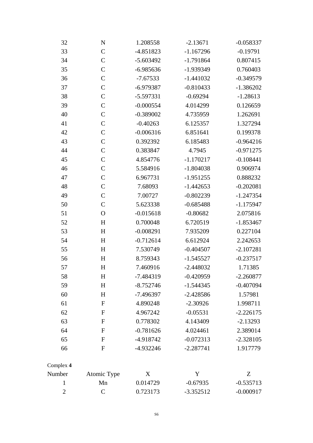| 32             | N                | 1.208558    | $-2.13671$  | $-0.058337$ |
|----------------|------------------|-------------|-------------|-------------|
| 33             | $\mathsf{C}$     | $-4.851823$ | $-1.167296$ | $-0.19791$  |
| 34             | $\mathcal{C}$    | $-5.603492$ | $-1.791864$ | 0.807415    |
| 35             | $\mathcal{C}$    | $-6.985636$ | -1.939349   | 0.760403    |
| 36             | $\mathcal{C}$    | $-7.67533$  | $-1.441032$ | $-0.349579$ |
| 37             | $\mathcal{C}$    | $-6.979387$ | $-0.810433$ | $-1.386202$ |
| 38             | $\mathsf{C}$     | $-5.597331$ | $-0.69294$  | $-1.28613$  |
| 39             | $\mathsf{C}$     | $-0.000554$ | 4.014299    | 0.126659    |
| 40             | $\mathcal{C}$    | $-0.389002$ | 4.735959    | 1.262691    |
| 41             | $\mathcal{C}$    | $-0.40263$  | 6.125357    | 1.327294    |
| 42             | $\mathcal{C}$    | $-0.006316$ | 6.851641    | 0.199378    |
| 43             | $\mathsf{C}$     | 0.392392    | 6.185483    | $-0.964216$ |
| 44             | $\mathcal{C}$    | 0.383847    | 4.7945      | $-0.971275$ |
| 45             | $\mathsf{C}$     | 4.854776    | $-1.170217$ | $-0.108441$ |
| 46             | $\mathsf{C}$     | 5.584916    | $-1.804038$ | 0.906974    |
| 47             | $\mathcal{C}$    | 6.967731    | $-1.951255$ | 0.888232    |
| 48             | $\mathcal{C}$    | 7.68093     | $-1.442653$ | $-0.202081$ |
| 49             | $\mathcal{C}$    | 7.00727     | $-0.802239$ | $-1.247354$ |
| 50             | $\mathcal{C}$    | 5.623338    | $-0.685488$ | $-1.175947$ |
| 51             | $\mathbf O$      | $-0.015618$ | $-0.80682$  | 2.075816    |
| 52             | H                | 0.700048    | 6.720519    | $-1.853467$ |
| 53             | H                | $-0.008291$ | 7.935209    | 0.227104    |
| 54             | H                | $-0.712614$ | 6.612924    | 2.242653    |
| 55             | H                | 7.530749    | $-0.404507$ | $-2.107281$ |
| 56             | H                | 8.759343    | $-1.545527$ | $-0.237517$ |
| 57             | H                | 7.460916    | $-2.448032$ | 1.71385     |
| 58             | H                | -7.484319   | $-0.420959$ | $-2.260877$ |
| 59             | H                | $-8.752746$ | $-1.544345$ | $-0.407094$ |
| 60             | H                | $-7.496397$ | $-2.428586$ | 1.57981     |
| 61             | $\mathbf{F}$     | 4.890248    | $-2.30926$  | 1.998711    |
| 62             | $\mathbf{F}$     | 4.967242    | $-0.05531$  | $-2.226175$ |
| 63             | ${\bf F}$        | 0.778302    | 4.143409    | $-2.13293$  |
| 64             | ${\bf F}$        | $-0.781626$ | 4.024461    | 2.389014    |
| 65             | $\mathbf{F}$     | $-4.918742$ | $-0.072313$ | $-2.328105$ |
| 66             | $\boldsymbol{F}$ | $-4.932246$ | $-2.287741$ | 1.917779    |
| Complex 4      |                  |             |             |             |
| Number         | Atomic Type      | X           | Y           | Z           |
| 1              | Mn               | 0.014729    | $-0.67935$  | $-0.535713$ |
| $\overline{2}$ | $\mathcal{C}$    | 0.723173    | $-3.352512$ | $-0.000917$ |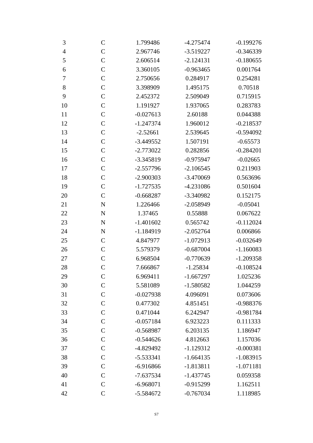| 3              | $\mathsf{C}$  | 1.799486    | $-4.275474$ | $-0.199276$ |
|----------------|---------------|-------------|-------------|-------------|
| $\overline{4}$ | $\mathcal{C}$ | 2.967746    | $-3.519227$ | $-0.346339$ |
| 5              | $\mathcal{C}$ | 2.606514    | $-2.124131$ | $-0.180655$ |
| 6              | $\mathcal{C}$ | 3.360105    | $-0.963465$ | 0.001764    |
| 7              | $\mathcal{C}$ | 2.750656    | 0.284917    | 0.254281    |
| $8\,$          | $\mathcal{C}$ | 3.398909    | 1.495175    | 0.70518     |
| 9              | $\mathcal{C}$ | 2.452372    | 2.509049    | 0.715915    |
| 10             | $\mathcal{C}$ | 1.191927    | 1.937065    | 0.283783    |
| 11             | $\mathcal{C}$ | $-0.027613$ | 2.60188     | 0.044388    |
| 12             | $\mathcal{C}$ | $-1.247374$ | 1.960012    | $-0.218537$ |
| 13             | $\mathcal{C}$ | $-2.52661$  | 2.539645    | $-0.594092$ |
| 14             | $\mathcal{C}$ | $-3.449552$ | 1.507191    | $-0.65573$  |
| 15             | $\mathcal{C}$ | $-2.773022$ | 0.282856    | $-0.284201$ |
| 16             | $\mathcal{C}$ | -3.345819   | $-0.975947$ | $-0.02665$  |
| 17             | $\mathcal{C}$ | $-2.557796$ | $-2.106545$ | 0.211903    |
| 18             | $\mathcal{C}$ | $-2.900303$ | $-3.470069$ | 0.563696    |
| 19             | $\mathcal{C}$ | $-1.727535$ | $-4.231086$ | 0.501604    |
| 20             | $\mathcal{C}$ | $-0.668287$ | -3.340982   | 0.152175    |
| 21             | $\mathbf N$   | 1.226466    | $-2.058949$ | $-0.05041$  |
| 22             | $\mathbf N$   | 1.37465     | 0.55888     | 0.067622    |
| 23             | $\mathbf N$   | $-1.401602$ | 0.565742    | $-0.112024$ |
| 24             | ${\bf N}$     | $-1.184919$ | $-2.052764$ | 0.006866    |
| 25             | $\mathcal{C}$ | 4.847977    | $-1.072913$ | $-0.032649$ |
| 26             | $\mathcal{C}$ | 5.579379    | $-0.687004$ | $-1.160083$ |
| 27             | $\mathcal{C}$ | 6.968504    | $-0.770639$ | $-1.209358$ |
| 28             | $\mathcal{C}$ | 7.666867    | $-1.25834$  | $-0.108524$ |
| 29             | $\mathcal{C}$ | 6.969411    | $-1.667297$ | 1.025236    |
| 30             | $\mathsf{C}$  | 5.581089    | $-1.580582$ | 1.044259    |
| 31             | $\mathsf{C}$  | $-0.027938$ | 4.096091    | 0.073606    |
| 32             | $\mathsf{C}$  | 0.477302    | 4.851451    | $-0.988376$ |
| 33             | $\mathcal{C}$ | 0.471044    | 6.242947    | $-0.981784$ |
| 34             | $\mathcal{C}$ | $-0.057184$ | 6.923223    | 0.111333    |
| 35             | $\mathcal{C}$ | $-0.568987$ | 6.203135    | 1.186947    |
| 36             | $\mathsf{C}$  | $-0.544626$ | 4.812663    | 1.157036    |
| 37             | $\mathcal{C}$ | -4.829492   | $-1.129312$ | $-0.000381$ |
| 38             | $\mathcal{C}$ | $-5.533341$ | $-1.664135$ | $-1.083915$ |
| 39             | $\mathcal{C}$ | $-6.916866$ | $-1.813811$ | $-1.071181$ |
| 40             | $\mathcal{C}$ | $-7.637534$ | $-1.437745$ | 0.059358    |
| 41             | $\mathcal{C}$ | $-6.968071$ | $-0.915299$ | 1.162511    |
| 42             | $\mathcal{C}$ | $-5.584672$ | $-0.767034$ | 1.118985    |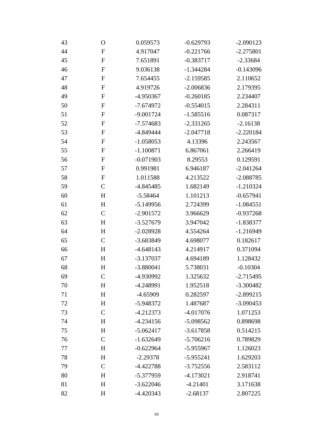| 43 | $\mathbf O$   | 0.059573    | $-0.629793$ | $-2.090123$ |
|----|---------------|-------------|-------------|-------------|
| 44 | $\mathbf{F}$  | 4.917047    | $-0.221766$ | $-2.275801$ |
| 45 | ${\bf F}$     | 7.651891    | $-0.383717$ | $-2.33684$  |
| 46 | $\mathbf{F}$  | 9.036138    | $-1.344284$ | $-0.143096$ |
| 47 | $\mathbf{F}$  | 7.654455    | $-2.159585$ | 2.110652    |
| 48 | $\mathbf{F}$  | 4.919726    | $-2.006836$ | 2.179395    |
| 49 | $\mathbf{F}$  | -4.950367   | $-0.260185$ | 2.234407    |
| 50 | $\mathbf F$   | $-7.674972$ | $-0.554015$ | 2.284311    |
| 51 | $\mathbf{F}$  | $-9.001724$ | $-1.585516$ | 0.087317    |
| 52 | ${\bf F}$     | $-7.574683$ | $-2.331265$ | $-2.16138$  |
| 53 | $\mathbf{F}$  | -4.849444   | $-2.047718$ | $-2.220184$ |
| 54 | ${\bf F}$     | $-1.058053$ | 4.13396     | 2.243567    |
| 55 | $\mathbf{F}$  | $-1.100871$ | 6.867061    | 2.266419    |
| 56 | $\mathbf F$   | $-0.071903$ | 8.29553     | 0.129591    |
| 57 | $\mathbf F$   | 0.991981    | 6.946187    | $-2.041264$ |
| 58 | $\mathbf{F}$  | 1.011588    | 4.213522    | $-2.088785$ |
| 59 | $\mathcal{C}$ | -4.845485   | 1.682149    | $-1.210324$ |
| 60 | H             | $-5.58464$  | 1.101213    | $-0.657941$ |
| 61 | H             | $-5.149956$ | 2.724399    | $-1.084551$ |
| 62 | $\mathcal{C}$ | $-2.901572$ | 3.966629    | $-0.937268$ |
| 63 | H             | $-3.527679$ | 3.947042    | $-1.838377$ |
| 64 | H             | $-2.028928$ | 4.554264    | $-1.216949$ |
| 65 | $\mathcal{C}$ | -3.683849   | 4.698077    | 0.182617    |
| 66 | H             | $-4.648143$ | 4.214917    | 0.371094    |
| 67 | H             | $-3.137037$ | 4.694189    | 1.128432    |
| 68 | H             | $-3.880041$ | 5.738031    | $-0.10304$  |
| 69 | $\mathcal{C}$ | -4.930992   | 1.325632    | $-2.715495$ |
| 70 | H             | -4.248991   | 1.952518    | $-3.300482$ |
| 71 | H             | $-4.65909$  | 0.282597    | $-2.899215$ |
| 72 | H             | -5.948372   | 1.487687    | $-3.090453$ |
| 73 | $\mathcal{C}$ | $-4.212373$ | $-4.017076$ | 1.071253    |
| 74 | H             | $-4.234156$ | $-5.098562$ | 0.898698    |
| 75 | H             | $-5.062417$ | $-3.617858$ | 0.514215    |
| 76 | $\mathcal{C}$ | $-1.632649$ | $-5.706216$ | 0.789829    |
| 77 | H             | $-0.622964$ | -5.955967   | 1.126023    |
| 78 | H             | $-2.29378$  | $-5.955241$ | 1.629203    |
| 79 | $\mathcal{C}$ | $-4.422788$ | $-3.752556$ | 2.583112    |
| 80 | H             | -5.377959   | $-4.173021$ | 2.918741    |
| 81 | H             | $-3.622046$ | $-4.21401$  | 3.171638    |
| 82 | H             | $-4.420343$ | $-2.68137$  | 2.807225    |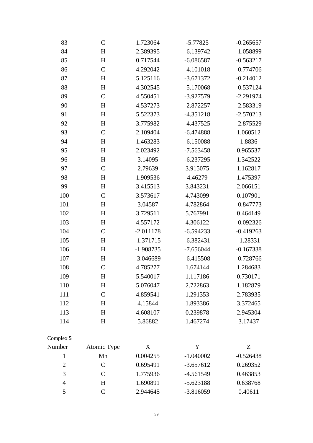| 83             | $\mathcal{C}$ | 1.723064    | $-5.77825$  | $-0.265657$ |
|----------------|---------------|-------------|-------------|-------------|
| 84             | H             | 2.389395    | $-6.139742$ | $-1.058899$ |
| 85             | H             | 0.717544    | $-6.086587$ | $-0.563217$ |
| 86             | $\mathcal{C}$ | 4.292042    | $-4.101018$ | $-0.774706$ |
| 87             | H             | 5.125116    | $-3.671372$ | $-0.214012$ |
| 88             | H             | 4.302545    | $-5.170068$ | $-0.537124$ |
| 89             | $\mathcal{C}$ | 4.550451    | $-3.927579$ | $-2.291974$ |
| 90             | H             | 4.537273    | $-2.872257$ | $-2.583319$ |
| 91             | H             | 5.522373    | $-4.351218$ | $-2.570213$ |
| 92             | H             | 3.775982    | $-4.437525$ | $-2.875529$ |
| 93             | $\mathcal{C}$ | 2.109404    | $-6.474888$ | 1.060512    |
| 94             | H             | 1.463283    | $-6.150088$ | 1.8836      |
| 95             | H             | 2.023492    | $-7.563458$ | 0.965537    |
| 96             | H             | 3.14095     | $-6.237295$ | 1.342522    |
| 97             | $\mathcal{C}$ | 2.79639     | 3.915075    | 1.162817    |
| 98             | H             | 1.909536    | 4.46279     | 1.475397    |
| 99             | H             | 3.415513    | 3.843231    | 2.066151    |
| 100            | $\mathbf C$   | 3.573617    | 4.743099    | 0.107901    |
| 101            | H             | 3.04587     | 4.782864    | $-0.847773$ |
| 102            | H             | 3.729511    | 5.767991    | 0.464149    |
| 103            | H             | 4.557172    | 4.306122    | $-0.092326$ |
| 104            | $\mathcal{C}$ | $-2.011178$ | $-6.594233$ | $-0.419263$ |
| 105            | H             | $-1.371715$ | $-6.382431$ | $-1.28331$  |
| 106            | H             | $-1.908735$ | $-7.656044$ | $-0.167338$ |
| 107            | $H_{\rm}$     | $-3.046689$ | $-6.415508$ | $-0.728766$ |
| 108            | $\mathcal{C}$ | 4.785277    | 1.674144    | 1.284683    |
| 109            | H             | 5.540017    | 1.117186    | 0.730171    |
| 110            | $H_{\rm}$     | 5.076047    | 2.722863    | 1.182879    |
| 111            | $\mathcal{C}$ | 4.859541    | 1.291353    | 2.783935    |
| 112            | H             | 4.15844     | 1.893386    | 3.372465    |
| 113            | H             | 4.608107    | 0.239878    | 2.945304    |
| 114            | H             | 5.86882     | 1.467274    | 3.17437     |
| Complex 5      |               |             |             |             |
| Number         | Atomic Type   | X           | $\mathbf Y$ | Z           |
| $\mathbf{1}$   | Mn            | 0.004255    | $-1.040002$ | $-0.526438$ |
| $\mathbf{2}$   | $\mathcal{C}$ | 0.695491    | $-3.657612$ | 0.269352    |
| 3              | $\mathsf{C}$  | 1.775936    | -4.561549   | 0.463853    |
| $\overline{4}$ | H             | 1.690891    | $-5.623188$ | 0.638768    |
| 5              | $\mathcal{C}$ | 2.944645    | $-3.816059$ | 0.40611     |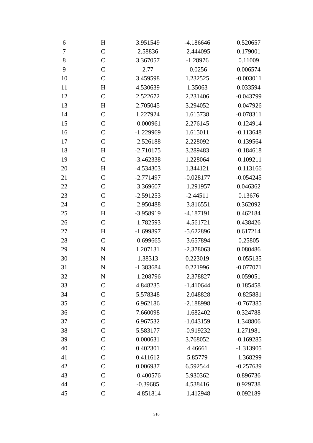| 6              | H             | 3.951549    | $-4.186646$ | 0.520657    |
|----------------|---------------|-------------|-------------|-------------|
| $\overline{7}$ | $\mathcal{C}$ | 2.58836     | $-2.444095$ | 0.179001    |
| $8\,$          | $\mathcal{C}$ | 3.367057    | $-1.28976$  | 0.11009     |
| 9              | $\mathcal{C}$ | 2.77        | $-0.0256$   | 0.006574    |
| 10             | $\mathcal{C}$ | 3.459598    | 1.232525    | $-0.003011$ |
| 11             | H             | 4.530639    | 1.35063     | 0.033594    |
| 12             | $\mathcal{C}$ | 2.522672    | 2.231406    | $-0.043799$ |
| 13             | H             | 2.705045    | 3.294052    | $-0.047926$ |
| 14             | $\mathcal{C}$ | 1.227924    | 1.615738    | $-0.078311$ |
| 15             | $\mathcal{C}$ | $-0.000961$ | 2.276145    | $-0.124914$ |
| 16             | $\mathcal{C}$ | $-1.229969$ | 1.615011    | $-0.113648$ |
| 17             | $\mathcal{C}$ | $-2.526188$ | 2.228092    | $-0.139564$ |
| 18             | H             | $-2.710175$ | 3.289483    | $-0.184618$ |
| 19             | $\mathcal{C}$ | $-3.462338$ | 1.228064    | $-0.109211$ |
| 20             | H             | $-4.534303$ | 1.344121    | $-0.113166$ |
| 21             | $\mathcal{C}$ | $-2.771497$ | $-0.028177$ | $-0.054245$ |
| 22             | $\mathcal{C}$ | $-3.369607$ | $-1.291957$ | 0.046362    |
| 23             | $\mathcal{C}$ | $-2.591253$ | $-2.44511$  | 0.13676     |
| 24             | $\mathcal{C}$ | $-2.950488$ | $-3.816551$ | 0.362092    |
| 25             | H             | -3.958919   | -4.187191   | 0.462184    |
| 26             | $\mathcal{C}$ | $-1.782593$ | $-4.561721$ | 0.438426    |
| 27             | H             | $-1.699897$ | $-5.622896$ | 0.617214    |
| 28             | $\mathcal{C}$ | $-0.699665$ | $-3.657894$ | 0.25805     |
| 29             | ${\bf N}$     | 1.207131    | $-2.378063$ | 0.080486    |
| 30             | ${\bf N}$     | 1.38313     | 0.223019    | $-0.055135$ |
| 31             | N             | $-1.383684$ | 0.221996    | $-0.077071$ |
| 32             | N             | $-1.208796$ | -2.378827   | 0.059051    |
| 33             | $\mathcal{C}$ | 4.848235    | $-1.410644$ | 0.185458    |
| 34             | $\mathcal{C}$ | 5.578348    | $-2.048828$ | $-0.825881$ |
| 35             | $\mathcal{C}$ | 6.962186    | $-2.188998$ | $-0.767385$ |
| 36             | $\mathcal{C}$ | 7.660098    | $-1.682402$ | 0.324788    |
| 37             | $\mathsf{C}$  | 6.967532    | $-1.043159$ | 1.348806    |
| 38             | $\mathcal{C}$ | 5.583177    | $-0.919232$ | 1.271981    |
| 39             | $\mathcal{C}$ | 0.000631    | 3.768052    | $-0.169285$ |
| 40             | $\mathcal{C}$ | 0.402301    | 4.46661     | $-1.313905$ |
| 41             | $\mathcal{C}$ | 0.411612    | 5.85779     | $-1.368299$ |
| 42             | $\mathcal{C}$ | 0.006937    | 6.592544    | $-0.257639$ |
| 43             | $\mathcal{C}$ | $-0.400576$ | 5.930362    | 0.896736    |
| 44             | $\mathcal{C}$ | $-0.39685$  | 4.538416    | 0.929738    |
| 45             | $\mathcal{C}$ | -4.851814   | $-1.412948$ | 0.092189    |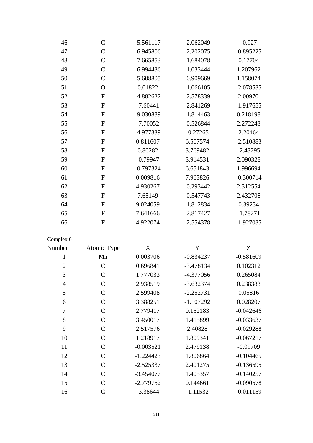| 46             | $\mathcal{C}$  | $-5.561117$ | $-2.062049$ | $-0.927$    |
|----------------|----------------|-------------|-------------|-------------|
| 47             | $\overline{C}$ | $-6.945806$ | $-2.202075$ | $-0.895225$ |
| 48             | $\mathsf{C}$   | $-7.665853$ | $-1.684078$ | 0.17704     |
| 49             | $\mathsf{C}$   | $-6.994436$ | $-1.033444$ | 1.207962    |
| 50             | $\mathcal{C}$  | $-5.608805$ | $-0.909669$ | 1.158074    |
| 51             | $\Omega$       | 0.01822     | $-1.066105$ | $-2.078535$ |
| 52             | $\mathbf{F}$   | $-4.882622$ | $-2.578339$ | $-2.009701$ |
| 53             | $\mathbf{F}$   | $-7.60441$  | $-2.841269$ | $-1.917655$ |
| 54             | ${\bf F}$      | -9.030889   | $-1.814463$ | 0.218198    |
| 55             | ${\bf F}$      | $-7.70052$  | $-0.526844$ | 2.272243    |
| 56             | $\mathbf{F}$   | -4.977339   | $-0.27265$  | 2.20464     |
| 57             | ${\bf F}$      | 0.811607    | 6.507574    | $-2.510883$ |
| 58             | $\mathbf{F}$   | 0.80282     | 3.769482    | $-2.43295$  |
| 59             | $\mathbf F$    | $-0.79947$  | 3.914531    | 2.090328    |
| 60             | $\mathbf{F}$   | $-0.797324$ | 6.651843    | 1.996694    |
| 61             | $\mathbf{F}$   | 0.009816    | 7.963826    | $-0.300714$ |
| 62             | ${\bf F}$      | 4.930267    | $-0.293442$ | 2.312554    |
| 63             | $\mathbf{F}$   | 7.65149     | $-0.547743$ | 2.432708    |
| 64             | $\mathbf F$    | 9.024059    | $-1.812834$ | 0.39234     |
| 65             | $\mathbf{F}$   | 7.641666    | $-2.817427$ | $-1.78271$  |
| 66             | $\mathbf{F}$   | 4.922074    | $-2.554378$ | $-1.927035$ |
| Complex 6      |                |             |             |             |
| Number         | Atomic Type    | X           | Y           | Z           |
| $\mathbf{1}$   | Mn             | 0.003706    | $-0.834237$ | $-0.581609$ |
| $\overline{2}$ | $\overline{C}$ | 0.696841    | $-3.478134$ | 0.102312    |
| 3              | $\mathbf C$    | 1.777033    | -4.377056   | 0.265084    |
| $\overline{4}$ | $\mathcal{C}$  | 2.938519    | $-3.632374$ | 0.238383    |
| 5              | $\mathsf{C}$   | 2.599408    | $-2.252731$ | 0.05816     |
| 6              | $\mathcal{C}$  | 3.388251    | $-1.107292$ | 0.028207    |
| $\tau$         | $\mathcal{C}$  | 2.779417    | 0.152183    | $-0.042646$ |
| 8              | $\overline{C}$ | 3.450017    | 1.415899    | $-0.033637$ |
| 9              | $\mathcal{C}$  | 2.517576    | 2.40828     | $-0.029288$ |
| 10             | $\mathcal{C}$  | 1.218917    | 1.809341    | $-0.067217$ |
| 11             | $\mathcal{C}$  | $-0.003521$ | 2.479138    | $-0.09709$  |
| 12             | $\mathcal{C}$  | $-1.224423$ | 1.806864    | $-0.104465$ |
| 13             | $\mathcal{C}$  | $-2.525337$ | 2.401275    | $-0.136595$ |
| 14             | $\mathcal{C}$  | $-3.454077$ | 1.405357    | $-0.140257$ |
| 15             | $\overline{C}$ | $-2.779752$ | 0.144661    | $-0.090578$ |
| 16             | $\mathcal{C}$  | $-3.38644$  | $-1.11532$  | $-0.011159$ |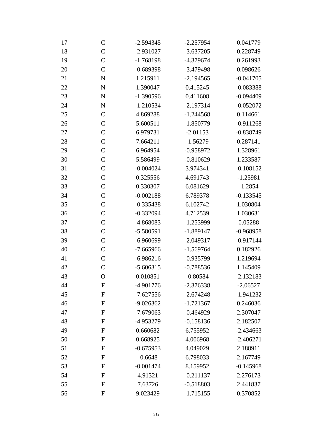| 17 | $\mathsf{C}$     | $-2.594345$ | $-2.257954$ | 0.041779    |
|----|------------------|-------------|-------------|-------------|
| 18 | $\mathcal{C}$    | $-2.931027$ | $-3.637205$ | 0.228749    |
| 19 | $\mathcal{C}$    | $-1.768198$ | -4.379674   | 0.261993    |
| 20 | $\mathcal{C}$    | $-0.689398$ | $-3.479498$ | 0.098626    |
| 21 | ${\bf N}$        | 1.215911    | $-2.194565$ | $-0.041705$ |
| 22 | ${\bf N}$        | 1.390047    | 0.415245    | $-0.083388$ |
| 23 | ${\bf N}$        | $-1.390596$ | 0.411608    | $-0.094409$ |
| 24 | ${\bf N}$        | $-1.210534$ | $-2.197314$ | $-0.052072$ |
| 25 | $\mathcal{C}$    | 4.869288    | $-1.244568$ | 0.114661    |
| 26 | $\mathcal{C}$    | 5.600511    | $-1.850779$ | $-0.911268$ |
| 27 | $\mathcal{C}$    | 6.979731    | $-2.01153$  | $-0.838749$ |
| 28 | $\mathsf{C}$     | 7.664211    | $-1.56279$  | 0.287141    |
| 29 | $\mathcal{C}$    | 6.964954    | $-0.958972$ | 1.328961    |
| 30 | $\mathcal{C}$    | 5.586499    | $-0.810629$ | 1.233587    |
| 31 | $\mathsf{C}$     | $-0.004024$ | 3.974341    | $-0.108152$ |
| 32 | $\mathcal{C}$    | 0.325556    | 4.691743    | $-1.25981$  |
| 33 | $\mathcal{C}$    | 0.330307    | 6.081629    | $-1.2854$   |
| 34 | $\mathcal{C}$    | $-0.002188$ | 6.789378    | $-0.133545$ |
| 35 | $\mathsf{C}$     | $-0.335438$ | 6.102742    | 1.030804    |
| 36 | $\mathcal{C}$    | $-0.332094$ | 4.712539    | 1.030631    |
| 37 | $\mathcal{C}$    | -4.868083   | $-1.253999$ | 0.05288     |
| 38 | $\mathsf{C}$     | $-5.580591$ | $-1.889147$ | $-0.968958$ |
| 39 | $\mathcal{C}$    | $-6.960699$ | $-2.049317$ | $-0.917144$ |
| 40 | $\mathcal{C}$    | $-7.665966$ | $-1.569764$ | 0.182926    |
| 41 | $\mathcal{C}$    | $-6.986216$ | $-0.935799$ | 1.219694    |
| 42 | $\mathcal{C}$    | $-5.606315$ | $-0.788536$ | 1.145409    |
| 43 | $\mathbf{O}$     | 0.010851    | $-0.80584$  | $-2.132183$ |
| 44 | ${\bf F}$        | $-4.901776$ | $-2.376338$ | $-2.06527$  |
| 45 | $\mathbf{F}$     | $-7.627556$ | $-2.674248$ | $-1.941232$ |
| 46 | F                | $-9.026362$ | $-1.721367$ | 0.246036    |
| 47 | $\overline{F}$   | $-7.679063$ | $-0.464929$ | 2.307047    |
| 48 | ${\bf F}$        | -4.953279   | $-0.158136$ | 2.182507    |
| 49 | $\boldsymbol{F}$ | 0.660682    | 6.755952    | $-2.434663$ |
| 50 | $\boldsymbol{F}$ | 0.668925    | 4.006968    | $-2.406271$ |
| 51 | $\mathbf F$      | $-0.675953$ | 4.049029    | 2.188911    |
| 52 | ${\bf F}$        | $-0.6648$   | 6.798033    | 2.167749    |
| 53 | $\mathbf F$      | $-0.001474$ | 8.159952    | $-0.145968$ |
| 54 | ${\bf F}$        | 4.91321     | $-0.211137$ | 2.276173    |
| 55 | ${\bf F}$        | 7.63726     | $-0.518803$ | 2.441837    |
| 56 | F                | 9.023429    | $-1.715155$ | 0.370852    |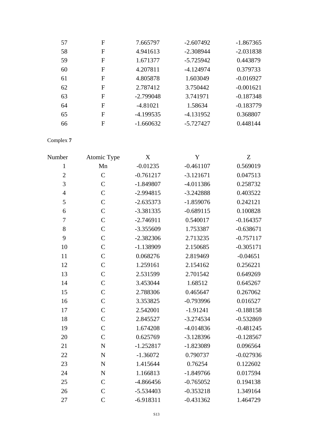| 57 | F | 7.665797    | $-2.607492$ | $-1.867365$ |
|----|---|-------------|-------------|-------------|
| 58 | F | 4.941613    | $-2.308944$ | $-2.031838$ |
| 59 | F | 1.671377    | $-5.725942$ | 0.443879    |
| 60 | F | 4.207811    | $-4.124974$ | 0.379733    |
| 61 | F | 4.805878    | 1.603049    | $-0.016927$ |
| 62 | F | 2.787412    | 3.750442    | $-0.001621$ |
| 63 | F | $-2.799048$ | 3.741971    | $-0.187348$ |
| 64 | F | $-4.81021$  | 1.58634     | $-0.183779$ |
| 65 | F | $-4.199535$ | $-4.131952$ | 0.368807    |
| 66 | F | $-1.660632$ | $-5.727427$ | 0.448144    |

Complex **7**

| Number           | Atomic Type    | X           | $\mathbf Y$ | Z           |
|------------------|----------------|-------------|-------------|-------------|
| $\mathbf{1}$     | Mn             | $-0.01235$  | $-0.461107$ | 0.569019    |
| $\overline{2}$   | $\overline{C}$ | $-0.761217$ | $-3.121671$ | 0.047513    |
| 3                | $\overline{C}$ | $-1.849807$ | $-4.011386$ | 0.258732    |
| $\overline{4}$   | $\overline{C}$ | $-2.994815$ | $-3.242888$ | 0.403522    |
| 5                | $\overline{C}$ | $-2.635373$ | $-1.859076$ | 0.242121    |
| $\boldsymbol{6}$ | $\overline{C}$ | $-3.381335$ | $-0.689115$ | 0.100828    |
| $\overline{7}$   | $\mathcal{C}$  | $-2.746911$ | 0.540017    | $-0.164357$ |
| $8\,$            | $\overline{C}$ | $-3.355609$ | 1.753387    | $-0.638671$ |
| 9                | $\overline{C}$ | $-2.382306$ | 2.713235    | $-0.757117$ |
| 10               | $\mathcal{C}$  | $-1.138909$ | 2.150685    | $-0.305171$ |
| 11               | $\overline{C}$ | 0.068276    | 2.819469    | $-0.04651$  |
| 12               | $\overline{C}$ | 1.259161    | 2.154162    | 0.256221    |
| 13               | $\mathcal{C}$  | 2.531599    | 2.701542    | 0.649269    |
| 14               | $\mathcal{C}$  | 3.453044    | 1.68512     | 0.645267    |
| 15               | $\overline{C}$ | 2.788306    | 0.465647    | 0.267062    |
| 16               | $\mathcal{C}$  | 3.353825    | $-0.793996$ | 0.016527    |
| 17               | $\overline{C}$ | 2.542001    | $-1.91241$  | $-0.188158$ |
| 18               | $\overline{C}$ | 2.845527    | $-3.274534$ | $-0.532869$ |
| 19               | $\mathcal{C}$  | 1.674208    | $-4.014836$ | $-0.481245$ |
| 20               | $\overline{C}$ | 0.625769    | $-3.128396$ | $-0.128567$ |
| 21               | ${\bf N}$      | $-1.252817$ | $-1.823089$ | 0.096564    |
| 22               | $\mathbf N$    | $-1.36072$  | 0.790737    | $-0.027936$ |
| 23               | ${\bf N}$      | 1.415644    | 0.76254     | 0.122602    |
| 24               | ${\bf N}$      | 1.166813    | $-1.849766$ | 0.017594    |
| 25               | $\mathcal{C}$  | $-4.866456$ | $-0.765052$ | 0.194138    |
| 26               | $\overline{C}$ | $-5.534403$ | $-0.353218$ | 1.349164    |
| 27               | $\overline{C}$ | $-6.918311$ | $-0.431362$ | 1.464729    |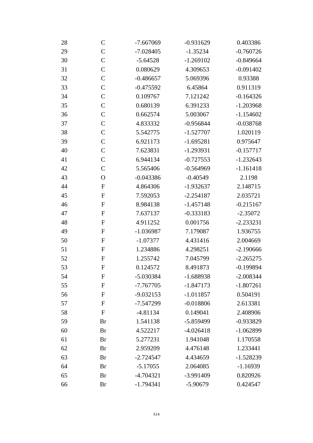| 28 | $\mathsf{C}$     | $-0.931629$<br>$-7.667069$ |             | 0.403386    |
|----|------------------|----------------------------|-------------|-------------|
| 29 | $\mathcal{C}$    | $-7.028405$                | $-1.35234$  | $-0.760726$ |
| 30 | $\mathcal{C}$    | $-5.64528$                 | $-1.269102$ | $-0.849664$ |
| 31 | $\mathcal{C}$    | 0.080629                   | 4.309653    | $-0.091402$ |
| 32 | $\mathsf{C}$     | $-0.486657$                | 5.069396    | 0.93388     |
| 33 | $\mathcal{C}$    | $-0.475592$                | 6.45864     | 0.911319    |
| 34 | $\mathcal{C}$    | 0.109767                   | 7.121242    | $-0.164326$ |
| 35 | $\mathsf{C}$     | 0.680139                   | 6.391233    | $-1.203968$ |
| 36 | $\mathcal{C}$    | 0.662574                   | 5.003067    | $-1.154602$ |
| 37 | $\mathcal{C}$    | 4.833332                   | $-0.956844$ | $-0.038768$ |
| 38 | $\mathcal{C}$    | 5.542775                   | $-1.527707$ | 1.020119    |
| 39 | $\mathsf{C}$     | 6.921173                   | $-1.695281$ | 0.975647    |
| 40 | $\mathcal{C}$    | 7.623831                   | $-1.293931$ | $-0.157717$ |
| 41 | $\mathsf{C}$     | 6.944134                   | $-0.727553$ | $-1.232643$ |
| 42 | $\mathcal{C}$    | 5.565406                   | $-0.564969$ | $-1.161418$ |
| 43 | $\mathbf O$      | $-0.043386$                | $-0.40549$  | 2.1198      |
| 44 | ${\bf F}$        | 4.864306                   | $-1.932637$ | 2.148715    |
| 45 | ${\bf F}$        | 7.592053                   | $-2.254187$ | 2.035721    |
| 46 | ${\bf F}$        | 8.984138                   | $-1.457148$ | $-0.215167$ |
| 47 | F                | 7.637137                   | $-0.333183$ | $-2.35072$  |
| 48 | $\boldsymbol{F}$ | 4.911252                   | 0.001756    | $-2.233231$ |
| 49 | ${\bf F}$        | $-1.036987$                | 7.179087    | 1.936755    |
| 50 | ${\bf F}$        | $-1.07377$                 | 4.431416    | 2.004669    |
| 51 | ${\bf F}$        | 1.234886                   | 4.298251    | $-2.190666$ |
| 52 | ${\bf F}$        | 1.255742                   | 7.045799    | $-2.265275$ |
| 53 | $\boldsymbol{F}$ | 0.124572                   | 8.491873    | $-0.199894$ |
| 54 | F                | $-5.030384$                | $-1.688938$ | $-2.008344$ |
| 55 | ${\bf F}$        | $-7.767705$                | $-1.847173$ | $-1.807261$ |
| 56 | $\mathbf{F}$     | $-9.032153$                | $-1.011857$ | 0.504191    |
| 57 | ${\bf F}$        | -7.547299                  | $-0.018806$ | 2.613381    |
| 58 | ${\bf F}$        | $-4.81134$                 | 0.149041    | 2.408906    |
| 59 | <b>Br</b>        | 1.541138                   | -5.859499   | $-0.933829$ |
| 60 | <b>Br</b>        | 4.522217                   | $-4.026418$ | $-1.062899$ |
| 61 | <b>Br</b>        | 5.277231                   | 1.941048    | 1.170558    |
| 62 | Br               | 2.959209                   | 4.476148    | 1.233441    |
| 63 | Br               | $-2.724547$                | 4.434659    | $-1.528239$ |
| 64 | Br               | $-5.17055$                 | 2.064085    | $-1.16939$  |
| 65 | Br               | $-4.704321$                | -3.991409   | 0.820926    |
| 66 | Br               | $-1.794341$                | $-5.90679$  | 0.424547    |